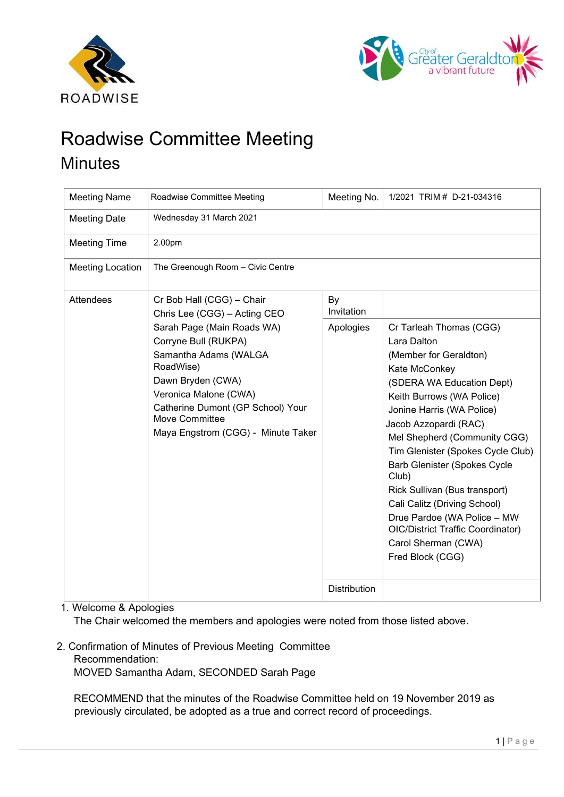



# Roadwise Committee Meeting **Minutes**

| <b>Meeting Name</b>     | Roadwise Committee Meeting                                                                                                                                                                                                                                                                       | Meeting No.         | 1/2021 TRIM # D-21-034316                                                                                                                                                                                                                                                                                                                                                                                                                                                                                     |
|-------------------------|--------------------------------------------------------------------------------------------------------------------------------------------------------------------------------------------------------------------------------------------------------------------------------------------------|---------------------|---------------------------------------------------------------------------------------------------------------------------------------------------------------------------------------------------------------------------------------------------------------------------------------------------------------------------------------------------------------------------------------------------------------------------------------------------------------------------------------------------------------|
| <b>Meeting Date</b>     | Wednesday 31 March 2021                                                                                                                                                                                                                                                                          |                     |                                                                                                                                                                                                                                                                                                                                                                                                                                                                                                               |
| <b>Meeting Time</b>     | 2.00pm                                                                                                                                                                                                                                                                                           |                     |                                                                                                                                                                                                                                                                                                                                                                                                                                                                                                               |
| <b>Meeting Location</b> | The Greenough Room - Civic Centre                                                                                                                                                                                                                                                                |                     |                                                                                                                                                                                                                                                                                                                                                                                                                                                                                                               |
| Attendees               | Cr Bob Hall (CGG) - Chair<br>Chris Lee (CGG) - Acting CEO<br>Sarah Page (Main Roads WA)<br>Corryne Bull (RUKPA)<br>Samantha Adams (WALGA<br>RoadWise)<br>Dawn Bryden (CWA)<br>Veronica Malone (CWA)<br>Catherine Dumont (GP School) Your<br>Move Committee<br>Maya Engstrom (CGG) - Minute Taker | By<br>Invitation    |                                                                                                                                                                                                                                                                                                                                                                                                                                                                                                               |
|                         |                                                                                                                                                                                                                                                                                                  | Apologies           | Cr Tarleah Thomas (CGG)<br>Lara Dalton<br>(Member for Geraldton)<br>Kate McConkey<br>(SDERA WA Education Dept)<br>Keith Burrows (WA Police)<br>Jonine Harris (WA Police)<br>Jacob Azzopardi (RAC)<br>Mel Shepherd (Community CGG)<br>Tim Glenister (Spokes Cycle Club)<br><b>Barb Glenister (Spokes Cycle</b><br>Club)<br>Rick Sullivan (Bus transport)<br>Cali Calitz (Driving School)<br>Drue Pardoe (WA Police - MW<br><b>OIC/District Traffic Coordinator)</b><br>Carol Sherman (CWA)<br>Fred Block (CGG) |
|                         |                                                                                                                                                                                                                                                                                                  | <b>Distribution</b> |                                                                                                                                                                                                                                                                                                                                                                                                                                                                                                               |

1. Welcome & Apologies

The Chair welcomed the members and apologies were noted from those listed above.

2. Confirmation of Minutes of Previous Meeting Committee Recommendation: MOVED Samantha Adam, SECONDED Sarah Page

RECOMMEND that the minutes of the Roadwise Committee held on 19 November 2019 as previously circulated, be adopted as a true and correct record of proceedings.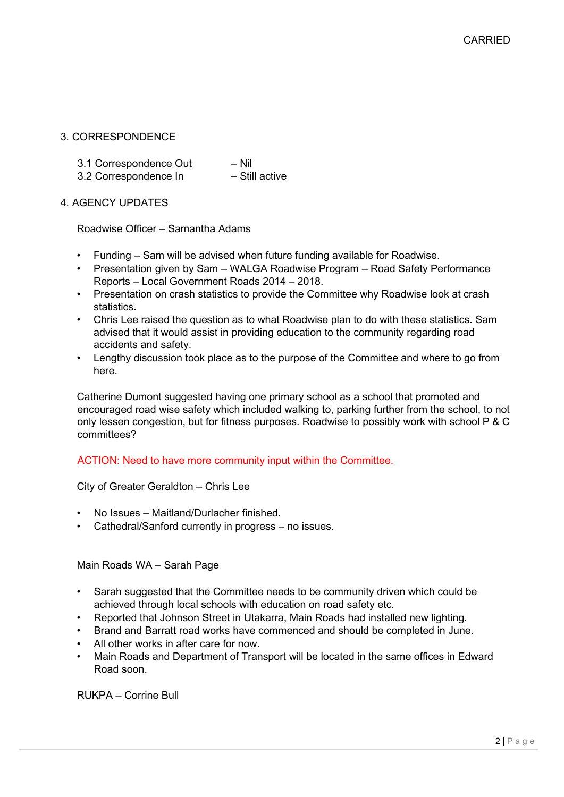# 3. CORRESPONDENCE

3.1 Correspondence Out - Nil<br>3.2 Correspondence In - Still active

3.2 Correspondence In

# 4. AGENCY UPDATES

Roadwise Officer – Samantha Adams

- Funding Sam will be advised when future funding available for Roadwise.
- Presentation given by Sam WALGA Roadwise Program Road Safety Performance Reports – Local Government Roads 2014 – 2018.
- Presentation on crash statistics to provide the Committee why Roadwise look at crash statistics.
- Chris Lee raised the question as to what Roadwise plan to do with these statistics. Sam advised that it would assist in providing education to the community regarding road accidents and safety.
- Lengthy discussion took place as to the purpose of the Committee and where to go from here.

Catherine Dumont suggested having one primary school as a school that promoted and encouraged road wise safety which included walking to, parking further from the school, to not only lessen congestion, but for fitness purposes. Roadwise to possibly work with school P & C committees?

### ACTION: Need to have more community input within the Committee.

City of Greater Geraldton – Chris Lee

- No Issues Maitland/Durlacher finished.
- Cathedral/Sanford currently in progress no issues.

Main Roads WA – Sarah Page

- Sarah suggested that the Committee needs to be community driven which could be achieved through local schools with education on road safety etc.
- Reported that Johnson Street in Utakarra, Main Roads had installed new lighting.
- Brand and Barratt road works have commenced and should be completed in June.
- All other works in after care for now.
- Main Roads and Department of Transport will be located in the same offices in Edward Road soon.

RUKPA – Corrine Bull